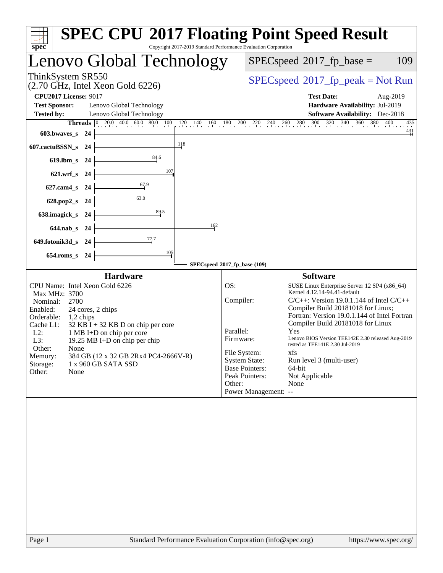| Copyright 2017-2019 Standard Performance Evaluation Corporation<br>spec <sup>®</sup>                                                                                                                                                                                                                                                                                                                                | <b>SPEC CPU®2017 Floating Point Speed Result</b>                                                                                                                                                                                                                                                                                                                                                                                                                                                                                                                                                                      |
|---------------------------------------------------------------------------------------------------------------------------------------------------------------------------------------------------------------------------------------------------------------------------------------------------------------------------------------------------------------------------------------------------------------------|-----------------------------------------------------------------------------------------------------------------------------------------------------------------------------------------------------------------------------------------------------------------------------------------------------------------------------------------------------------------------------------------------------------------------------------------------------------------------------------------------------------------------------------------------------------------------------------------------------------------------|
| Lenovo Global Technology                                                                                                                                                                                                                                                                                                                                                                                            | $SPEC speed^{\circ}2017$ _fp_base =<br>109                                                                                                                                                                                                                                                                                                                                                                                                                                                                                                                                                                            |
| ThinkSystem SR550<br>(2.70 GHz, Intel Xeon Gold 6226)                                                                                                                                                                                                                                                                                                                                                               | $SPEC speed^{\circ}2017\_fp\_peak = Not Run$                                                                                                                                                                                                                                                                                                                                                                                                                                                                                                                                                                          |
| <b>CPU2017 License: 9017</b>                                                                                                                                                                                                                                                                                                                                                                                        | <b>Test Date:</b><br>Aug-2019                                                                                                                                                                                                                                                                                                                                                                                                                                                                                                                                                                                         |
| <b>Test Sponsor:</b><br>Lenovo Global Technology                                                                                                                                                                                                                                                                                                                                                                    | Hardware Availability: Jul-2019                                                                                                                                                                                                                                                                                                                                                                                                                                                                                                                                                                                       |
| <b>Tested by:</b><br>Lenovo Global Technology<br>$\boxed{0, 20.0, 40.0, 60.0, 80.0, 100}$<br>120<br>140<br>160<br>Threads                                                                                                                                                                                                                                                                                           | <b>Software Availability:</b> Dec-2018<br>$180$ $200$ $220$ $240$ $260$ $280$ $300$ $320$ $340$ $360$ $380$ $400$<br>435                                                                                                                                                                                                                                                                                                                                                                                                                                                                                              |
| a basar basar ba<br>603.bwaves_s 24                                                                                                                                                                                                                                                                                                                                                                                 | $\frac{431}{4}$                                                                                                                                                                                                                                                                                                                                                                                                                                                                                                                                                                                                       |
| 118<br>607.cactuBSSN_s 24                                                                                                                                                                                                                                                                                                                                                                                           |                                                                                                                                                                                                                                                                                                                                                                                                                                                                                                                                                                                                                       |
| 84.6<br>619.lbm_s 24                                                                                                                                                                                                                                                                                                                                                                                                |                                                                                                                                                                                                                                                                                                                                                                                                                                                                                                                                                                                                                       |
| 107<br>$621.wrf$ s<br>24                                                                                                                                                                                                                                                                                                                                                                                            |                                                                                                                                                                                                                                                                                                                                                                                                                                                                                                                                                                                                                       |
| 67.9<br>$627$ .cam $4$ <sub>S</sub><br>24                                                                                                                                                                                                                                                                                                                                                                           |                                                                                                                                                                                                                                                                                                                                                                                                                                                                                                                                                                                                                       |
| 63.0<br>628.pop2_s<br>- 24                                                                                                                                                                                                                                                                                                                                                                                          |                                                                                                                                                                                                                                                                                                                                                                                                                                                                                                                                                                                                                       |
| 89.5<br>638.imagick_s<br>- 24                                                                                                                                                                                                                                                                                                                                                                                       |                                                                                                                                                                                                                                                                                                                                                                                                                                                                                                                                                                                                                       |
| 162<br>644.nab s 24                                                                                                                                                                                                                                                                                                                                                                                                 |                                                                                                                                                                                                                                                                                                                                                                                                                                                                                                                                                                                                                       |
| 77.7<br>649.fotonik3d_s 24                                                                                                                                                                                                                                                                                                                                                                                          |                                                                                                                                                                                                                                                                                                                                                                                                                                                                                                                                                                                                                       |
| 105<br>$654$ .roms_s<br>- 24                                                                                                                                                                                                                                                                                                                                                                                        |                                                                                                                                                                                                                                                                                                                                                                                                                                                                                                                                                                                                                       |
|                                                                                                                                                                                                                                                                                                                                                                                                                     | SPECspeed®2017_fp_base (109)                                                                                                                                                                                                                                                                                                                                                                                                                                                                                                                                                                                          |
| <b>Hardware</b><br>CPU Name: Intel Xeon Gold 6226<br>Max MHz: 3700<br>Nominal:<br>2700<br>Enabled:<br>24 cores, 2 chips<br>Orderable:<br>1,2 chips<br>Cache L1:<br>$32$ KB I + 32 KB D on chip per core<br>$L2$ :<br>1 MB I+D on chip per core<br>$L3$ :<br>19.25 MB I+D on chip per chip<br>Other:<br>None<br>384 GB (12 x 32 GB 2Rx4 PC4-2666V-R)<br>Memory:<br>Storage:<br>1 x 960 GB SATA SSD<br>Other:<br>None | <b>Software</b><br>OS:<br>SUSE Linux Enterprise Server 12 SP4 (x86_64)<br>Kernel 4.12.14-94.41-default<br>Compiler:<br>$C/C++$ : Version 19.0.1.144 of Intel $C/C++$<br>Compiler Build 20181018 for Linux;<br>Fortran: Version 19.0.1.144 of Intel Fortran<br>Compiler Build 20181018 for Linux<br>Parallel:<br>Yes<br>Firmware:<br>Lenovo BIOS Version TEE142E 2.30 released Aug-2019<br>tested as TEE141E 2.30 Jul-2019<br>File System:<br>xfs<br><b>System State:</b><br>Run level 3 (multi-user)<br><b>Base Pointers:</b><br>64-bit<br>Peak Pointers:<br>Not Applicable<br>Other:<br>None<br>Power Management: -- |
|                                                                                                                                                                                                                                                                                                                                                                                                                     |                                                                                                                                                                                                                                                                                                                                                                                                                                                                                                                                                                                                                       |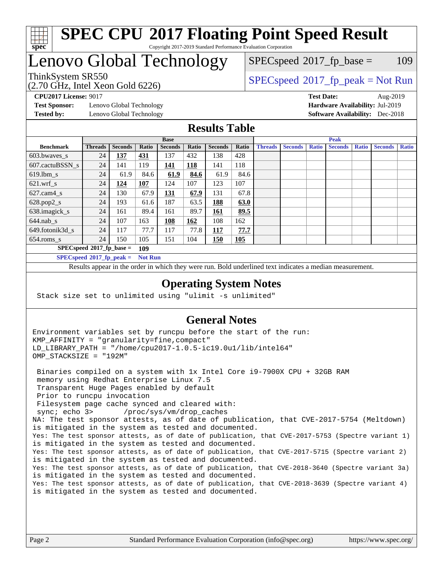

### **[SPEC CPU](http://www.spec.org/auto/cpu2017/Docs/result-fields.html#SPECCPU2017FloatingPointSpeedResult)[2017 Floating Point Speed Result](http://www.spec.org/auto/cpu2017/Docs/result-fields.html#SPECCPU2017FloatingPointSpeedResult)** Copyright 2017-2019 Standard Performance Evaluation Corporation

# Lenovo Global Technology

(2.70 GHz, Intel Xeon Gold 6226)

 $SPEC speed^{\circ}2017\_fp\_base = 109$ 

## ThinkSystem SR550<br>  $SPEC speed^{\circ}2017$ \_fp\_peak = Not Run

**[Test Sponsor:](http://www.spec.org/auto/cpu2017/Docs/result-fields.html#TestSponsor)** Lenovo Global Technology **[Hardware Availability:](http://www.spec.org/auto/cpu2017/Docs/result-fields.html#HardwareAvailability)** Jul-2019 **[Tested by:](http://www.spec.org/auto/cpu2017/Docs/result-fields.html#Testedby)** Lenovo Global Technology **[Software Availability:](http://www.spec.org/auto/cpu2017/Docs/result-fields.html#SoftwareAvailability)** Dec-2018

**[CPU2017 License:](http://www.spec.org/auto/cpu2017/Docs/result-fields.html#CPU2017License)** 9017 **[Test Date:](http://www.spec.org/auto/cpu2017/Docs/result-fields.html#TestDate)** Aug-2019

### **[Results Table](http://www.spec.org/auto/cpu2017/Docs/result-fields.html#ResultsTable)**

|                                    | <b>Base</b>                 |                |                |                |       | <b>Peak</b>    |       |                |                |              |                |              |                |              |
|------------------------------------|-----------------------------|----------------|----------------|----------------|-------|----------------|-------|----------------|----------------|--------------|----------------|--------------|----------------|--------------|
| <b>Benchmark</b>                   | <b>Threads</b>              | <b>Seconds</b> | Ratio          | <b>Seconds</b> | Ratio | <b>Seconds</b> | Ratio | <b>Threads</b> | <b>Seconds</b> | <b>Ratio</b> | <b>Seconds</b> | <b>Ratio</b> | <b>Seconds</b> | <b>Ratio</b> |
| 603.bwayes_s                       | 24                          | 137            | 431            | 137            | 432   | 138            | 428   |                |                |              |                |              |                |              |
| 607.cactuBSSN s                    | 24                          | 141            | 119            | 141            | 118   | 141            | 118   |                |                |              |                |              |                |              |
| $619.$ lbm s                       | 24                          | 61.9           | 84.6           | 61.9           | 84.6  | 61.9           | 84.6  |                |                |              |                |              |                |              |
| $621.wrf$ s                        | 24                          | <u>124</u>     | 107            | 124            | 107   | 123            | 107   |                |                |              |                |              |                |              |
| $627$ .cam4 s                      | 24                          | 130            | 67.9           | 131            | 67.9  | 131            | 67.8  |                |                |              |                |              |                |              |
| $628.pop2_s$                       | 24                          | 193            | 61.6           | 187            | 63.5  | 188            | 63.0  |                |                |              |                |              |                |              |
| 638.imagick_s                      | 24                          | 161            | 89.4           | 161            | 89.7  | 161            | 89.5  |                |                |              |                |              |                |              |
| $644$ .nab s                       | 24                          | 107            | 163            | 108            | 162   | 108            | 162   |                |                |              |                |              |                |              |
| 649.fotonik3d_s                    | 24                          | 117            | 77.7           | 117            | 77.8  | 117            | 77.7  |                |                |              |                |              |                |              |
| $654$ .roms_s                      | 24                          | 150            | 105            | 151            | 104   | <b>150</b>     | 105   |                |                |              |                |              |                |              |
| $SPECspeed*2017_fp\_base =$<br>109 |                             |                |                |                |       |                |       |                |                |              |                |              |                |              |
|                                    | $SPECspeed*2017_fp\_peak =$ |                | <b>Not Run</b> |                |       |                |       |                |                |              |                |              |                |              |

Results appear in the [order in which they were run.](http://www.spec.org/auto/cpu2017/Docs/result-fields.html#RunOrder) Bold underlined text [indicates a median measurement](http://www.spec.org/auto/cpu2017/Docs/result-fields.html#Median).

### **[Operating System Notes](http://www.spec.org/auto/cpu2017/Docs/result-fields.html#OperatingSystemNotes)**

Stack size set to unlimited using "ulimit -s unlimited"

### **[General Notes](http://www.spec.org/auto/cpu2017/Docs/result-fields.html#GeneralNotes)**

Environment variables set by runcpu before the start of the run: KMP\_AFFINITY = "granularity=fine,compact" LD\_LIBRARY\_PATH = "/home/cpu2017-1.0.5-ic19.0u1/lib/intel64" OMP\_STACKSIZE = "192M"

 Binaries compiled on a system with 1x Intel Core i9-7900X CPU + 32GB RAM memory using Redhat Enterprise Linux 7.5 Transparent Huge Pages enabled by default Prior to runcpu invocation Filesystem page cache synced and cleared with: sync; echo 3> /proc/sys/vm/drop\_caches NA: The test sponsor attests, as of date of publication, that CVE-2017-5754 (Meltdown) is mitigated in the system as tested and documented. Yes: The test sponsor attests, as of date of publication, that CVE-2017-5753 (Spectre variant 1) is mitigated in the system as tested and documented. Yes: The test sponsor attests, as of date of publication, that CVE-2017-5715 (Spectre variant 2) is mitigated in the system as tested and documented. Yes: The test sponsor attests, as of date of publication, that CVE-2018-3640 (Spectre variant 3a) is mitigated in the system as tested and documented. Yes: The test sponsor attests, as of date of publication, that CVE-2018-3639 (Spectre variant 4) is mitigated in the system as tested and documented.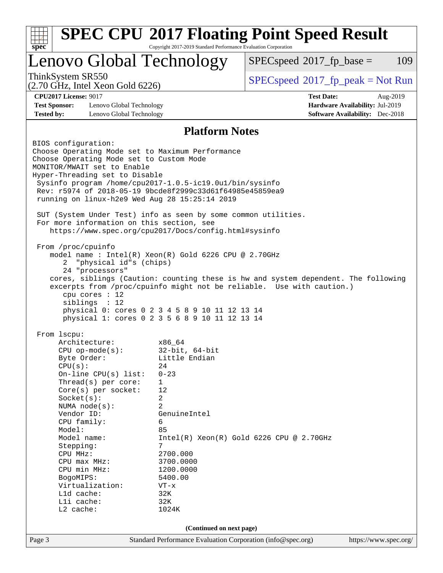| Lenovo Global Technology                                                                                                                                                                                                                                                                                                                                        |                                                                                                  | $SPEC speed^{\circ}2017$ _fp_base =                                                                                                                         | 109      |
|-----------------------------------------------------------------------------------------------------------------------------------------------------------------------------------------------------------------------------------------------------------------------------------------------------------------------------------------------------------------|--------------------------------------------------------------------------------------------------|-------------------------------------------------------------------------------------------------------------------------------------------------------------|----------|
| ThinkSystem SR550<br>$(2.70 \text{ GHz}, \text{Intel Xeon Gold } 6226)$                                                                                                                                                                                                                                                                                         |                                                                                                  | $SPEC speed^{\circ}2017\_fp\_peak = Not Run$                                                                                                                |          |
| <b>CPU2017 License: 9017</b>                                                                                                                                                                                                                                                                                                                                    |                                                                                                  | <b>Test Date:</b>                                                                                                                                           | Aug-2019 |
| <b>Test Sponsor:</b><br>Lenovo Global Technology                                                                                                                                                                                                                                                                                                                |                                                                                                  | Hardware Availability: Jul-2019                                                                                                                             |          |
| <b>Tested by:</b><br>Lenovo Global Technology                                                                                                                                                                                                                                                                                                                   |                                                                                                  | <b>Software Availability:</b> Dec-2018                                                                                                                      |          |
|                                                                                                                                                                                                                                                                                                                                                                 | <b>Platform Notes</b>                                                                            |                                                                                                                                                             |          |
| BIOS configuration:<br>Choose Operating Mode set to Maximum Performance<br>Choose Operating Mode set to Custom Mode<br>MONITOR/MWAIT set to Enable<br>Hyper-Threading set to Disable<br>Sysinfo program /home/cpu2017-1.0.5-ic19.0ul/bin/sysinfo<br>Rev: r5974 of 2018-05-19 9bcde8f2999c33d61f64985e45859ea9<br>running on linux-h2e9 Wed Aug 28 15:25:14 2019 |                                                                                                  |                                                                                                                                                             |          |
| SUT (System Under Test) info as seen by some common utilities.<br>For more information on this section, see<br>https://www.spec.org/cpu2017/Docs/config.html#sysinfo                                                                                                                                                                                            |                                                                                                  |                                                                                                                                                             |          |
|                                                                                                                                                                                                                                                                                                                                                                 | model name : Intel(R) Xeon(R) Gold 6226 CPU @ 2.70GHz                                            |                                                                                                                                                             |          |
| "physical id"s (chips)<br>2<br>24 "processors"<br>cpu cores : 12<br>siblings : 12                                                                                                                                                                                                                                                                               | physical 0: cores 0 2 3 4 5 8 9 10 11 12 13 14<br>physical 1: cores 0 2 3 5 6 8 9 10 11 12 13 14 | cores, siblings (Caution: counting these is hw and system dependent. The following<br>excerpts from /proc/cpuinfo might not be reliable. Use with caution.) |          |
|                                                                                                                                                                                                                                                                                                                                                                 |                                                                                                  |                                                                                                                                                             |          |
| From lscpu:<br>Architecture:                                                                                                                                                                                                                                                                                                                                    | x86_64                                                                                           |                                                                                                                                                             |          |
| $CPU$ op-mode( $s$ ):                                                                                                                                                                                                                                                                                                                                           | $32$ -bit, $64$ -bit                                                                             |                                                                                                                                                             |          |
| Byte Order:                                                                                                                                                                                                                                                                                                                                                     | Little Endian                                                                                    |                                                                                                                                                             |          |
| CPU(s):                                                                                                                                                                                                                                                                                                                                                         | 24<br>$0 - 23$                                                                                   |                                                                                                                                                             |          |
| On-line CPU(s) list:<br>Thread(s) per core:                                                                                                                                                                                                                                                                                                                     | 1                                                                                                |                                                                                                                                                             |          |
| $Core(s)$ per socket:                                                                                                                                                                                                                                                                                                                                           | 12                                                                                               |                                                                                                                                                             |          |
| Socket(s):                                                                                                                                                                                                                                                                                                                                                      | 2                                                                                                |                                                                                                                                                             |          |
| NUMA node(s):<br>Vendor ID:                                                                                                                                                                                                                                                                                                                                     | $\overline{a}$<br>GenuineIntel                                                                   |                                                                                                                                                             |          |
| CPU family:                                                                                                                                                                                                                                                                                                                                                     | 6                                                                                                |                                                                                                                                                             |          |
| Model:                                                                                                                                                                                                                                                                                                                                                          | 85                                                                                               |                                                                                                                                                             |          |
| Model name:                                                                                                                                                                                                                                                                                                                                                     |                                                                                                  | $Intel(R) Xeon(R) Gold 6226 CPU @ 2.70GHz$                                                                                                                  |          |
| Stepping:<br>CPU MHz:                                                                                                                                                                                                                                                                                                                                           | 7<br>2700.000                                                                                    |                                                                                                                                                             |          |
| CPU max MHz:                                                                                                                                                                                                                                                                                                                                                    | 3700.0000                                                                                        |                                                                                                                                                             |          |
| CPU min MHz:                                                                                                                                                                                                                                                                                                                                                    | 1200.0000                                                                                        |                                                                                                                                                             |          |
| BogoMIPS:                                                                                                                                                                                                                                                                                                                                                       | 5400.00                                                                                          |                                                                                                                                                             |          |
| Virtualization:                                                                                                                                                                                                                                                                                                                                                 | $VT - x$                                                                                         |                                                                                                                                                             |          |
| L1d cache:<br>Lli cache:                                                                                                                                                                                                                                                                                                                                        | 32K<br>32K                                                                                       |                                                                                                                                                             |          |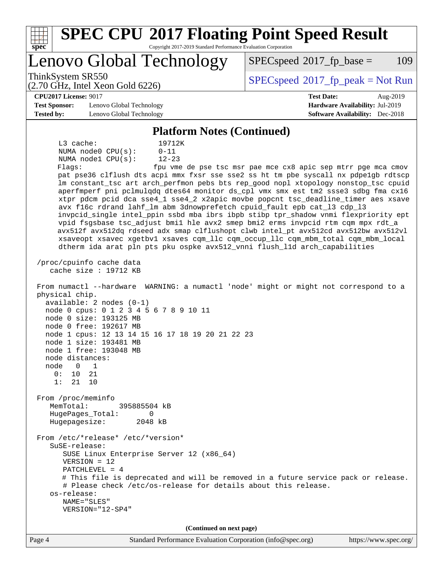| <b>SPEC CPU®2017 Floating Point Speed Result</b>                                                                                                                                                                                                                                                                                                                                                                                                                                                                                                                                                                                                                                                                                                                                                                                                                                                                                                                                                                                                                                                                                                                                                                                                                                                                                                                                                                                                                                                                                                                                                                                                                                                                                                                                                                                                                                                                             |                                                                           |
|------------------------------------------------------------------------------------------------------------------------------------------------------------------------------------------------------------------------------------------------------------------------------------------------------------------------------------------------------------------------------------------------------------------------------------------------------------------------------------------------------------------------------------------------------------------------------------------------------------------------------------------------------------------------------------------------------------------------------------------------------------------------------------------------------------------------------------------------------------------------------------------------------------------------------------------------------------------------------------------------------------------------------------------------------------------------------------------------------------------------------------------------------------------------------------------------------------------------------------------------------------------------------------------------------------------------------------------------------------------------------------------------------------------------------------------------------------------------------------------------------------------------------------------------------------------------------------------------------------------------------------------------------------------------------------------------------------------------------------------------------------------------------------------------------------------------------------------------------------------------------------------------------------------------------|---------------------------------------------------------------------------|
| Copyright 2017-2019 Standard Performance Evaluation Corporation<br>spec                                                                                                                                                                                                                                                                                                                                                                                                                                                                                                                                                                                                                                                                                                                                                                                                                                                                                                                                                                                                                                                                                                                                                                                                                                                                                                                                                                                                                                                                                                                                                                                                                                                                                                                                                                                                                                                      |                                                                           |
| Lenovo Global Technology                                                                                                                                                                                                                                                                                                                                                                                                                                                                                                                                                                                                                                                                                                                                                                                                                                                                                                                                                                                                                                                                                                                                                                                                                                                                                                                                                                                                                                                                                                                                                                                                                                                                                                                                                                                                                                                                                                     | 109<br>$SPEC speed^{\circ}2017\_fp\_base =$                               |
| ThinkSystem SR550<br>$(2.70 \text{ GHz}, \text{Intel Xeon Gold } 6226)$                                                                                                                                                                                                                                                                                                                                                                                                                                                                                                                                                                                                                                                                                                                                                                                                                                                                                                                                                                                                                                                                                                                                                                                                                                                                                                                                                                                                                                                                                                                                                                                                                                                                                                                                                                                                                                                      | $SPEC speed^{\circ}2017\_fp\_peak = Not Run$                              |
| <b>CPU2017 License: 9017</b>                                                                                                                                                                                                                                                                                                                                                                                                                                                                                                                                                                                                                                                                                                                                                                                                                                                                                                                                                                                                                                                                                                                                                                                                                                                                                                                                                                                                                                                                                                                                                                                                                                                                                                                                                                                                                                                                                                 | <b>Test Date:</b><br>Aug-2019                                             |
| <b>Test Sponsor:</b><br>Lenovo Global Technology<br><b>Tested by:</b><br>Lenovo Global Technology                                                                                                                                                                                                                                                                                                                                                                                                                                                                                                                                                                                                                                                                                                                                                                                                                                                                                                                                                                                                                                                                                                                                                                                                                                                                                                                                                                                                                                                                                                                                                                                                                                                                                                                                                                                                                            | Hardware Availability: Jul-2019<br><b>Software Availability:</b> Dec-2018 |
| <b>Platform Notes (Continued)</b>                                                                                                                                                                                                                                                                                                                                                                                                                                                                                                                                                                                                                                                                                                                                                                                                                                                                                                                                                                                                                                                                                                                                                                                                                                                                                                                                                                                                                                                                                                                                                                                                                                                                                                                                                                                                                                                                                            |                                                                           |
| L3 cache:<br>19712K<br>NUMA $node0$ $CPU(s)$ :<br>$0 - 11$<br>$12 - 23$<br>NUMA nodel CPU(s):<br>Flags:<br>pat pse36 clflush dts acpi mmx fxsr sse sse2 ss ht tm pbe syscall nx pdpelgb rdtscp<br>lm constant_tsc art arch_perfmon pebs bts rep_good nopl xtopology nonstop_tsc cpuid<br>aperfmperf pni pclmulqdq dtes64 monitor ds_cpl vmx smx est tm2 ssse3 sdbg fma cx16<br>xtpr pdcm pcid dca sse4_1 sse4_2 x2apic movbe popcnt tsc_deadline_timer aes xsave<br>avx f16c rdrand lahf_lm abm 3dnowprefetch cpuid_fault epb cat_13 cdp_13<br>invpcid_single intel_ppin ssbd mba ibrs ibpb stibp tpr_shadow vnmi flexpriority ept<br>vpid fsgsbase tsc_adjust bmil hle avx2 smep bmi2 erms invpcid rtm cqm mpx rdt_a<br>avx512f avx512dq rdseed adx smap clflushopt clwb intel_pt avx512cd avx512bw avx512vl<br>xsaveopt xsavec xgetbvl xsaves cqm_llc cqm_occup_llc cqm_mbm_total cqm_mbm_local<br>dtherm ida arat pln pts pku ospke avx512_vnni flush_lld arch_capabilities<br>/proc/cpuinfo cache data<br>cache size : 19712 KB<br>From numactl --hardware WARNING: a numactl 'node' might or might not correspond to a<br>physical chip.<br>$available: 2 nodes (0-1)$<br>node 0 cpus: 0 1 2 3 4 5 6 7 8 9 10 11<br>node 0 size: 193125 MB<br>node 0 free: 192617 MB<br>node 1 cpus: 12 13 14 15 16 17 18 19 20 21 22 23<br>node 1 size: 193481 MB<br>node 1 free: 193048 MB<br>node distances:<br>node<br>$\Omega$<br>1<br>0:<br>21<br>10<br>1:<br>21<br>10<br>From /proc/meminfo<br>MemTotal:<br>395885504 kB<br>HugePages_Total:<br>0<br>Hugepagesize:<br>2048 kB<br>From /etc/*release* /etc/*version*<br>SuSE-release:<br>SUSE Linux Enterprise Server 12 (x86_64)<br>$VERSION = 12$<br>$PATCHLEVEL = 4$<br># This file is deprecated and will be removed in a future service pack or release.<br># Please check /etc/os-release for details about this release.<br>os-release:<br>NAME="SLES"<br>VERSION="12-SP4" | fpu vme de pse tsc msr pae mce cx8 apic sep mtrr pge mca cmov             |
| (Continued on next page)                                                                                                                                                                                                                                                                                                                                                                                                                                                                                                                                                                                                                                                                                                                                                                                                                                                                                                                                                                                                                                                                                                                                                                                                                                                                                                                                                                                                                                                                                                                                                                                                                                                                                                                                                                                                                                                                                                     |                                                                           |
| Standard Performance Evaluation Corporation (info@spec.org)<br>Page 4                                                                                                                                                                                                                                                                                                                                                                                                                                                                                                                                                                                                                                                                                                                                                                                                                                                                                                                                                                                                                                                                                                                                                                                                                                                                                                                                                                                                                                                                                                                                                                                                                                                                                                                                                                                                                                                        | https://www.spec.org/                                                     |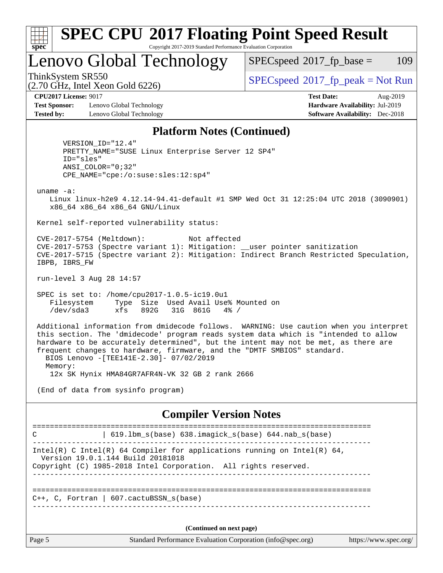| x<br>t.<br>L |  |  |  |  |  |
|--------------|--|--|--|--|--|

### **[SPEC CPU](http://www.spec.org/auto/cpu2017/Docs/result-fields.html#SPECCPU2017FloatingPointSpeedResult)[2017 Floating Point Speed Result](http://www.spec.org/auto/cpu2017/Docs/result-fields.html#SPECCPU2017FloatingPointSpeedResult)** Copyright 2017-2019 Standard Performance Evaluation Corporation

Lenovo Global Technology

 $SPECspeed^{\circledcirc}2017_fp\_base = 109$  $SPECspeed^{\circledcirc}2017_fp\_base = 109$ 

(2.70 GHz, Intel Xeon Gold 6226)

ThinkSystem SR550<br>  $SPEC speed^{\circ}2017$ \_fp\_peak = Not Run

**[Test Sponsor:](http://www.spec.org/auto/cpu2017/Docs/result-fields.html#TestSponsor)** Lenovo Global Technology **[Hardware Availability:](http://www.spec.org/auto/cpu2017/Docs/result-fields.html#HardwareAvailability)** Jul-2019 **[Tested by:](http://www.spec.org/auto/cpu2017/Docs/result-fields.html#Testedby)** Lenovo Global Technology **[Software Availability:](http://www.spec.org/auto/cpu2017/Docs/result-fields.html#SoftwareAvailability)** Dec-2018

**[CPU2017 License:](http://www.spec.org/auto/cpu2017/Docs/result-fields.html#CPU2017License)** 9017 **[Test Date:](http://www.spec.org/auto/cpu2017/Docs/result-fields.html#TestDate)** Aug-2019

### **[Platform Notes \(Continued\)](http://www.spec.org/auto/cpu2017/Docs/result-fields.html#PlatformNotes)**

 VERSION\_ID="12.4" PRETTY\_NAME="SUSE Linux Enterprise Server 12 SP4" ID="sles" ANSI\_COLOR="0;32" CPE\_NAME="cpe:/o:suse:sles:12:sp4"

uname -a:

 Linux linux-h2e9 4.12.14-94.41-default #1 SMP Wed Oct 31 12:25:04 UTC 2018 (3090901) x86\_64 x86\_64 x86\_64 GNU/Linux

Kernel self-reported vulnerability status:

 CVE-2017-5754 (Meltdown): Not affected CVE-2017-5753 (Spectre variant 1): Mitigation: \_\_user pointer sanitization CVE-2017-5715 (Spectre variant 2): Mitigation: Indirect Branch Restricted Speculation, IBPB, IBRS\_FW

run-level 3 Aug 28 14:57

 SPEC is set to: /home/cpu2017-1.0.5-ic19.0u1 Filesystem Type Size Used Avail Use% Mounted on /dev/sda3 xfs 892G 31G 861G 4% /

 Additional information from dmidecode follows. WARNING: Use caution when you interpret this section. The 'dmidecode' program reads system data which is "intended to allow hardware to be accurately determined", but the intent may not be met, as there are frequent changes to hardware, firmware, and the "DMTF SMBIOS" standard. BIOS Lenovo -[TEE141E-2.30]- 07/02/2019 Memory:

12x SK Hynix HMA84GR7AFR4N-VK 32 GB 2 rank 2666

(End of data from sysinfo program)

**[Compiler Version Notes](http://www.spec.org/auto/cpu2017/Docs/result-fields.html#CompilerVersionNotes)**

Page 5 Standard Performance Evaluation Corporation [\(info@spec.org\)](mailto:info@spec.org) <https://www.spec.org/> ============================================================================== C | 619.lbm\_s(base) 638.imagick\_s(base) 644.nab\_s(base) ------------------------------------------------------------------------------ Intel(R) C Intel(R) 64 Compiler for applications running on Intel(R)  $64$ , Version 19.0.1.144 Build 20181018 Copyright (C) 1985-2018 Intel Corporation. All rights reserved. ------------------------------------------------------------------------------ ============================================================================== C++, C, Fortran | 607.cactuBSSN\_s(base) ------------------------------------------------------------------------------ **(Continued on next page)**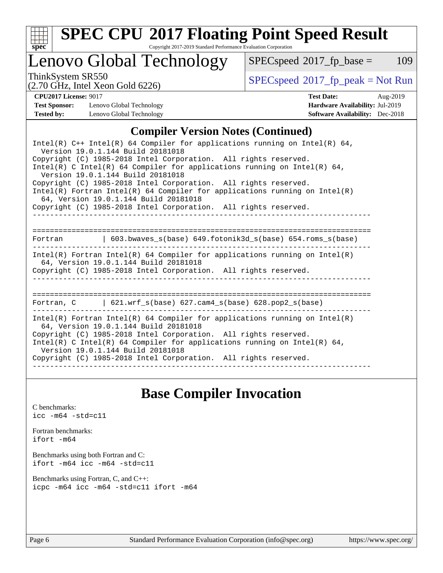

# **[SPEC CPU](http://www.spec.org/auto/cpu2017/Docs/result-fields.html#SPECCPU2017FloatingPointSpeedResult)[2017 Floating Point Speed Result](http://www.spec.org/auto/cpu2017/Docs/result-fields.html#SPECCPU2017FloatingPointSpeedResult)**

Copyright 2017-2019 Standard Performance Evaluation Corporation

# Lenovo Global Technology

 $SPECspeed*2017_fp\_base = 109$  $SPECspeed*2017_fp\_base = 109$ 

ThinkSystem SR550<br>  $(2.70 \text{ GHz}_{\text{1.1}})$  [SPECspeed](http://www.spec.org/auto/cpu2017/Docs/result-fields.html#SPECspeed2017fppeak)®[2017\\_fp\\_peak = N](http://www.spec.org/auto/cpu2017/Docs/result-fields.html#SPECspeed2017fppeak)ot Run

(2.70 GHz, Intel Xeon Gold 6226)

| <b>Test Sponsor:</b> | Lenovo Global Technology |
|----------------------|--------------------------|
| <b>Tested by:</b>    | Lenovo Global Technology |

**[CPU2017 License:](http://www.spec.org/auto/cpu2017/Docs/result-fields.html#CPU2017License)** 9017 **[Test Date:](http://www.spec.org/auto/cpu2017/Docs/result-fields.html#TestDate)** Aug-2019 **[Hardware Availability:](http://www.spec.org/auto/cpu2017/Docs/result-fields.html#HardwareAvailability) Jul-2019 [Software Availability:](http://www.spec.org/auto/cpu2017/Docs/result-fields.html#SoftwareAvailability)** Dec-2018

### **[Compiler Version Notes \(Continued\)](http://www.spec.org/auto/cpu2017/Docs/result-fields.html#CompilerVersionNotes)**

# **[Base Compiler Invocation](http://www.spec.org/auto/cpu2017/Docs/result-fields.html#BaseCompilerInvocation)**

[C benchmarks](http://www.spec.org/auto/cpu2017/Docs/result-fields.html#Cbenchmarks): [icc -m64 -std=c11](http://www.spec.org/cpu2017/results/res2019q3/cpu2017-20190903-17624.flags.html#user_CCbase_intel_icc_64bit_c11_33ee0cdaae7deeeab2a9725423ba97205ce30f63b9926c2519791662299b76a0318f32ddfffdc46587804de3178b4f9328c46fa7c2b0cd779d7a61945c91cd35)

[Fortran benchmarks](http://www.spec.org/auto/cpu2017/Docs/result-fields.html#Fortranbenchmarks): [ifort -m64](http://www.spec.org/cpu2017/results/res2019q3/cpu2017-20190903-17624.flags.html#user_FCbase_intel_ifort_64bit_24f2bb282fbaeffd6157abe4f878425411749daecae9a33200eee2bee2fe76f3b89351d69a8130dd5949958ce389cf37ff59a95e7a40d588e8d3a57e0c3fd751)

[Benchmarks using both Fortran and C](http://www.spec.org/auto/cpu2017/Docs/result-fields.html#BenchmarksusingbothFortranandC): [ifort -m64](http://www.spec.org/cpu2017/results/res2019q3/cpu2017-20190903-17624.flags.html#user_CC_FCbase_intel_ifort_64bit_24f2bb282fbaeffd6157abe4f878425411749daecae9a33200eee2bee2fe76f3b89351d69a8130dd5949958ce389cf37ff59a95e7a40d588e8d3a57e0c3fd751) [icc -m64 -std=c11](http://www.spec.org/cpu2017/results/res2019q3/cpu2017-20190903-17624.flags.html#user_CC_FCbase_intel_icc_64bit_c11_33ee0cdaae7deeeab2a9725423ba97205ce30f63b9926c2519791662299b76a0318f32ddfffdc46587804de3178b4f9328c46fa7c2b0cd779d7a61945c91cd35)

[Benchmarks using Fortran, C, and C++:](http://www.spec.org/auto/cpu2017/Docs/result-fields.html#BenchmarksusingFortranCandCXX) [icpc -m64](http://www.spec.org/cpu2017/results/res2019q3/cpu2017-20190903-17624.flags.html#user_CC_CXX_FCbase_intel_icpc_64bit_4ecb2543ae3f1412ef961e0650ca070fec7b7afdcd6ed48761b84423119d1bf6bdf5cad15b44d48e7256388bc77273b966e5eb805aefd121eb22e9299b2ec9d9) [icc -m64 -std=c11](http://www.spec.org/cpu2017/results/res2019q3/cpu2017-20190903-17624.flags.html#user_CC_CXX_FCbase_intel_icc_64bit_c11_33ee0cdaae7deeeab2a9725423ba97205ce30f63b9926c2519791662299b76a0318f32ddfffdc46587804de3178b4f9328c46fa7c2b0cd779d7a61945c91cd35) [ifort -m64](http://www.spec.org/cpu2017/results/res2019q3/cpu2017-20190903-17624.flags.html#user_CC_CXX_FCbase_intel_ifort_64bit_24f2bb282fbaeffd6157abe4f878425411749daecae9a33200eee2bee2fe76f3b89351d69a8130dd5949958ce389cf37ff59a95e7a40d588e8d3a57e0c3fd751)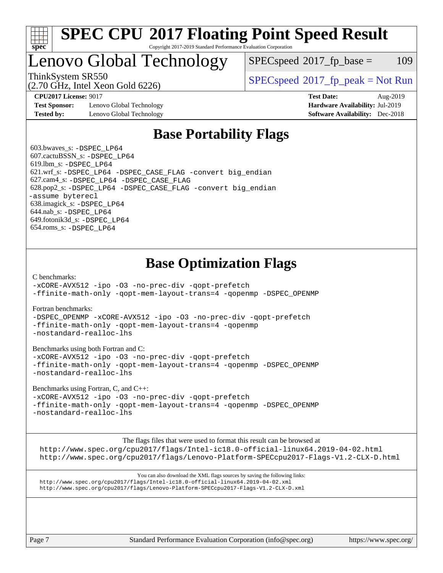

### **[SPEC CPU](http://www.spec.org/auto/cpu2017/Docs/result-fields.html#SPECCPU2017FloatingPointSpeedResult)[2017 Floating Point Speed Result](http://www.spec.org/auto/cpu2017/Docs/result-fields.html#SPECCPU2017FloatingPointSpeedResult)** Copyright 2017-2019 Standard Performance Evaluation Corporation

# Lenovo Global Technology

 $SPEC speed^{\circ}2017\_fp\_base = 109$ 

(2.70 GHz, Intel Xeon Gold 6226)

ThinkSystem SR550<br>  $SPEC speed^{\circ}2017$ \_fp\_peak = Not Run

**[Test Sponsor:](http://www.spec.org/auto/cpu2017/Docs/result-fields.html#TestSponsor)** Lenovo Global Technology **[Hardware Availability:](http://www.spec.org/auto/cpu2017/Docs/result-fields.html#HardwareAvailability)** Jul-2019 **[Tested by:](http://www.spec.org/auto/cpu2017/Docs/result-fields.html#Testedby)** Lenovo Global Technology **[Software Availability:](http://www.spec.org/auto/cpu2017/Docs/result-fields.html#SoftwareAvailability)** Dec-2018

**[CPU2017 License:](http://www.spec.org/auto/cpu2017/Docs/result-fields.html#CPU2017License)** 9017 **[Test Date:](http://www.spec.org/auto/cpu2017/Docs/result-fields.html#TestDate)** Aug-2019

# **[Base Portability Flags](http://www.spec.org/auto/cpu2017/Docs/result-fields.html#BasePortabilityFlags)**

 603.bwaves\_s: [-DSPEC\\_LP64](http://www.spec.org/cpu2017/results/res2019q3/cpu2017-20190903-17624.flags.html#suite_basePORTABILITY603_bwaves_s_DSPEC_LP64) 607.cactuBSSN\_s: [-DSPEC\\_LP64](http://www.spec.org/cpu2017/results/res2019q3/cpu2017-20190903-17624.flags.html#suite_basePORTABILITY607_cactuBSSN_s_DSPEC_LP64) 619.lbm\_s: [-DSPEC\\_LP64](http://www.spec.org/cpu2017/results/res2019q3/cpu2017-20190903-17624.flags.html#suite_basePORTABILITY619_lbm_s_DSPEC_LP64) 621.wrf\_s: [-DSPEC\\_LP64](http://www.spec.org/cpu2017/results/res2019q3/cpu2017-20190903-17624.flags.html#suite_basePORTABILITY621_wrf_s_DSPEC_LP64) [-DSPEC\\_CASE\\_FLAG](http://www.spec.org/cpu2017/results/res2019q3/cpu2017-20190903-17624.flags.html#b621.wrf_s_baseCPORTABILITY_DSPEC_CASE_FLAG) [-convert big\\_endian](http://www.spec.org/cpu2017/results/res2019q3/cpu2017-20190903-17624.flags.html#user_baseFPORTABILITY621_wrf_s_convert_big_endian_c3194028bc08c63ac5d04de18c48ce6d347e4e562e8892b8bdbdc0214820426deb8554edfa529a3fb25a586e65a3d812c835984020483e7e73212c4d31a38223) 627.cam4\_s: [-DSPEC\\_LP64](http://www.spec.org/cpu2017/results/res2019q3/cpu2017-20190903-17624.flags.html#suite_basePORTABILITY627_cam4_s_DSPEC_LP64) [-DSPEC\\_CASE\\_FLAG](http://www.spec.org/cpu2017/results/res2019q3/cpu2017-20190903-17624.flags.html#b627.cam4_s_baseCPORTABILITY_DSPEC_CASE_FLAG) 628.pop2\_s: [-DSPEC\\_LP64](http://www.spec.org/cpu2017/results/res2019q3/cpu2017-20190903-17624.flags.html#suite_basePORTABILITY628_pop2_s_DSPEC_LP64) [-DSPEC\\_CASE\\_FLAG](http://www.spec.org/cpu2017/results/res2019q3/cpu2017-20190903-17624.flags.html#b628.pop2_s_baseCPORTABILITY_DSPEC_CASE_FLAG) [-convert big\\_endian](http://www.spec.org/cpu2017/results/res2019q3/cpu2017-20190903-17624.flags.html#user_baseFPORTABILITY628_pop2_s_convert_big_endian_c3194028bc08c63ac5d04de18c48ce6d347e4e562e8892b8bdbdc0214820426deb8554edfa529a3fb25a586e65a3d812c835984020483e7e73212c4d31a38223) [-assume byterecl](http://www.spec.org/cpu2017/results/res2019q3/cpu2017-20190903-17624.flags.html#user_baseFPORTABILITY628_pop2_s_assume_byterecl_7e47d18b9513cf18525430bbf0f2177aa9bf368bc7a059c09b2c06a34b53bd3447c950d3f8d6c70e3faf3a05c8557d66a5798b567902e8849adc142926523472) 638.imagick\_s: [-DSPEC\\_LP64](http://www.spec.org/cpu2017/results/res2019q3/cpu2017-20190903-17624.flags.html#suite_basePORTABILITY638_imagick_s_DSPEC_LP64) 644.nab\_s: [-DSPEC\\_LP64](http://www.spec.org/cpu2017/results/res2019q3/cpu2017-20190903-17624.flags.html#suite_basePORTABILITY644_nab_s_DSPEC_LP64) 649.fotonik3d\_s: [-DSPEC\\_LP64](http://www.spec.org/cpu2017/results/res2019q3/cpu2017-20190903-17624.flags.html#suite_basePORTABILITY649_fotonik3d_s_DSPEC_LP64) 654.roms\_s: [-DSPEC\\_LP64](http://www.spec.org/cpu2017/results/res2019q3/cpu2017-20190903-17624.flags.html#suite_basePORTABILITY654_roms_s_DSPEC_LP64)

# **[Base Optimization Flags](http://www.spec.org/auto/cpu2017/Docs/result-fields.html#BaseOptimizationFlags)**

[C benchmarks](http://www.spec.org/auto/cpu2017/Docs/result-fields.html#Cbenchmarks):

[-xCORE-AVX512](http://www.spec.org/cpu2017/results/res2019q3/cpu2017-20190903-17624.flags.html#user_CCbase_f-xCORE-AVX512) [-ipo](http://www.spec.org/cpu2017/results/res2019q3/cpu2017-20190903-17624.flags.html#user_CCbase_f-ipo) [-O3](http://www.spec.org/cpu2017/results/res2019q3/cpu2017-20190903-17624.flags.html#user_CCbase_f-O3) [-no-prec-div](http://www.spec.org/cpu2017/results/res2019q3/cpu2017-20190903-17624.flags.html#user_CCbase_f-no-prec-div) [-qopt-prefetch](http://www.spec.org/cpu2017/results/res2019q3/cpu2017-20190903-17624.flags.html#user_CCbase_f-qopt-prefetch) [-ffinite-math-only](http://www.spec.org/cpu2017/results/res2019q3/cpu2017-20190903-17624.flags.html#user_CCbase_f_finite_math_only_cb91587bd2077682c4b38af759c288ed7c732db004271a9512da14a4f8007909a5f1427ecbf1a0fb78ff2a814402c6114ac565ca162485bbcae155b5e4258871) [-qopt-mem-layout-trans=4](http://www.spec.org/cpu2017/results/res2019q3/cpu2017-20190903-17624.flags.html#user_CCbase_f-qopt-mem-layout-trans_fa39e755916c150a61361b7846f310bcdf6f04e385ef281cadf3647acec3f0ae266d1a1d22d972a7087a248fd4e6ca390a3634700869573d231a252c784941a8) [-qopenmp](http://www.spec.org/cpu2017/results/res2019q3/cpu2017-20190903-17624.flags.html#user_CCbase_qopenmp_16be0c44f24f464004c6784a7acb94aca937f053568ce72f94b139a11c7c168634a55f6653758ddd83bcf7b8463e8028bb0b48b77bcddc6b78d5d95bb1df2967) [-DSPEC\\_OPENMP](http://www.spec.org/cpu2017/results/res2019q3/cpu2017-20190903-17624.flags.html#suite_CCbase_DSPEC_OPENMP)

[Fortran benchmarks](http://www.spec.org/auto/cpu2017/Docs/result-fields.html#Fortranbenchmarks):

[-DSPEC\\_OPENMP](http://www.spec.org/cpu2017/results/res2019q3/cpu2017-20190903-17624.flags.html#suite_FCbase_DSPEC_OPENMP) [-xCORE-AVX512](http://www.spec.org/cpu2017/results/res2019q3/cpu2017-20190903-17624.flags.html#user_FCbase_f-xCORE-AVX512) [-ipo](http://www.spec.org/cpu2017/results/res2019q3/cpu2017-20190903-17624.flags.html#user_FCbase_f-ipo) [-O3](http://www.spec.org/cpu2017/results/res2019q3/cpu2017-20190903-17624.flags.html#user_FCbase_f-O3) [-no-prec-div](http://www.spec.org/cpu2017/results/res2019q3/cpu2017-20190903-17624.flags.html#user_FCbase_f-no-prec-div) [-qopt-prefetch](http://www.spec.org/cpu2017/results/res2019q3/cpu2017-20190903-17624.flags.html#user_FCbase_f-qopt-prefetch) [-ffinite-math-only](http://www.spec.org/cpu2017/results/res2019q3/cpu2017-20190903-17624.flags.html#user_FCbase_f_finite_math_only_cb91587bd2077682c4b38af759c288ed7c732db004271a9512da14a4f8007909a5f1427ecbf1a0fb78ff2a814402c6114ac565ca162485bbcae155b5e4258871) [-qopt-mem-layout-trans=4](http://www.spec.org/cpu2017/results/res2019q3/cpu2017-20190903-17624.flags.html#user_FCbase_f-qopt-mem-layout-trans_fa39e755916c150a61361b7846f310bcdf6f04e385ef281cadf3647acec3f0ae266d1a1d22d972a7087a248fd4e6ca390a3634700869573d231a252c784941a8) [-qopenmp](http://www.spec.org/cpu2017/results/res2019q3/cpu2017-20190903-17624.flags.html#user_FCbase_qopenmp_16be0c44f24f464004c6784a7acb94aca937f053568ce72f94b139a11c7c168634a55f6653758ddd83bcf7b8463e8028bb0b48b77bcddc6b78d5d95bb1df2967) [-nostandard-realloc-lhs](http://www.spec.org/cpu2017/results/res2019q3/cpu2017-20190903-17624.flags.html#user_FCbase_f_2003_std_realloc_82b4557e90729c0f113870c07e44d33d6f5a304b4f63d4c15d2d0f1fab99f5daaed73bdb9275d9ae411527f28b936061aa8b9c8f2d63842963b95c9dd6426b8a)

[Benchmarks using both Fortran and C](http://www.spec.org/auto/cpu2017/Docs/result-fields.html#BenchmarksusingbothFortranandC):

[-xCORE-AVX512](http://www.spec.org/cpu2017/results/res2019q3/cpu2017-20190903-17624.flags.html#user_CC_FCbase_f-xCORE-AVX512) [-ipo](http://www.spec.org/cpu2017/results/res2019q3/cpu2017-20190903-17624.flags.html#user_CC_FCbase_f-ipo) [-O3](http://www.spec.org/cpu2017/results/res2019q3/cpu2017-20190903-17624.flags.html#user_CC_FCbase_f-O3) [-no-prec-div](http://www.spec.org/cpu2017/results/res2019q3/cpu2017-20190903-17624.flags.html#user_CC_FCbase_f-no-prec-div) [-qopt-prefetch](http://www.spec.org/cpu2017/results/res2019q3/cpu2017-20190903-17624.flags.html#user_CC_FCbase_f-qopt-prefetch) [-ffinite-math-only](http://www.spec.org/cpu2017/results/res2019q3/cpu2017-20190903-17624.flags.html#user_CC_FCbase_f_finite_math_only_cb91587bd2077682c4b38af759c288ed7c732db004271a9512da14a4f8007909a5f1427ecbf1a0fb78ff2a814402c6114ac565ca162485bbcae155b5e4258871) [-qopt-mem-layout-trans=4](http://www.spec.org/cpu2017/results/res2019q3/cpu2017-20190903-17624.flags.html#user_CC_FCbase_f-qopt-mem-layout-trans_fa39e755916c150a61361b7846f310bcdf6f04e385ef281cadf3647acec3f0ae266d1a1d22d972a7087a248fd4e6ca390a3634700869573d231a252c784941a8) [-qopenmp](http://www.spec.org/cpu2017/results/res2019q3/cpu2017-20190903-17624.flags.html#user_CC_FCbase_qopenmp_16be0c44f24f464004c6784a7acb94aca937f053568ce72f94b139a11c7c168634a55f6653758ddd83bcf7b8463e8028bb0b48b77bcddc6b78d5d95bb1df2967) [-DSPEC\\_OPENMP](http://www.spec.org/cpu2017/results/res2019q3/cpu2017-20190903-17624.flags.html#suite_CC_FCbase_DSPEC_OPENMP) [-nostandard-realloc-lhs](http://www.spec.org/cpu2017/results/res2019q3/cpu2017-20190903-17624.flags.html#user_CC_FCbase_f_2003_std_realloc_82b4557e90729c0f113870c07e44d33d6f5a304b4f63d4c15d2d0f1fab99f5daaed73bdb9275d9ae411527f28b936061aa8b9c8f2d63842963b95c9dd6426b8a)

[Benchmarks using Fortran, C, and C++:](http://www.spec.org/auto/cpu2017/Docs/result-fields.html#BenchmarksusingFortranCandCXX)

[-xCORE-AVX512](http://www.spec.org/cpu2017/results/res2019q3/cpu2017-20190903-17624.flags.html#user_CC_CXX_FCbase_f-xCORE-AVX512) [-ipo](http://www.spec.org/cpu2017/results/res2019q3/cpu2017-20190903-17624.flags.html#user_CC_CXX_FCbase_f-ipo) [-O3](http://www.spec.org/cpu2017/results/res2019q3/cpu2017-20190903-17624.flags.html#user_CC_CXX_FCbase_f-O3) [-no-prec-div](http://www.spec.org/cpu2017/results/res2019q3/cpu2017-20190903-17624.flags.html#user_CC_CXX_FCbase_f-no-prec-div) [-qopt-prefetch](http://www.spec.org/cpu2017/results/res2019q3/cpu2017-20190903-17624.flags.html#user_CC_CXX_FCbase_f-qopt-prefetch) [-ffinite-math-only](http://www.spec.org/cpu2017/results/res2019q3/cpu2017-20190903-17624.flags.html#user_CC_CXX_FCbase_f_finite_math_only_cb91587bd2077682c4b38af759c288ed7c732db004271a9512da14a4f8007909a5f1427ecbf1a0fb78ff2a814402c6114ac565ca162485bbcae155b5e4258871) [-qopt-mem-layout-trans=4](http://www.spec.org/cpu2017/results/res2019q3/cpu2017-20190903-17624.flags.html#user_CC_CXX_FCbase_f-qopt-mem-layout-trans_fa39e755916c150a61361b7846f310bcdf6f04e385ef281cadf3647acec3f0ae266d1a1d22d972a7087a248fd4e6ca390a3634700869573d231a252c784941a8) [-qopenmp](http://www.spec.org/cpu2017/results/res2019q3/cpu2017-20190903-17624.flags.html#user_CC_CXX_FCbase_qopenmp_16be0c44f24f464004c6784a7acb94aca937f053568ce72f94b139a11c7c168634a55f6653758ddd83bcf7b8463e8028bb0b48b77bcddc6b78d5d95bb1df2967) [-DSPEC\\_OPENMP](http://www.spec.org/cpu2017/results/res2019q3/cpu2017-20190903-17624.flags.html#suite_CC_CXX_FCbase_DSPEC_OPENMP) [-nostandard-realloc-lhs](http://www.spec.org/cpu2017/results/res2019q3/cpu2017-20190903-17624.flags.html#user_CC_CXX_FCbase_f_2003_std_realloc_82b4557e90729c0f113870c07e44d33d6f5a304b4f63d4c15d2d0f1fab99f5daaed73bdb9275d9ae411527f28b936061aa8b9c8f2d63842963b95c9dd6426b8a)

[The flags files that were used to format this result can be browsed at](tmsearch)

<http://www.spec.org/cpu2017/flags/Intel-ic18.0-official-linux64.2019-04-02.html> <http://www.spec.org/cpu2017/flags/Lenovo-Platform-SPECcpu2017-Flags-V1.2-CLX-D.html>

[You can also download the XML flags sources by saving the following links:](tmsearch) <http://www.spec.org/cpu2017/flags/Intel-ic18.0-official-linux64.2019-04-02.xml> <http://www.spec.org/cpu2017/flags/Lenovo-Platform-SPECcpu2017-Flags-V1.2-CLX-D.xml>